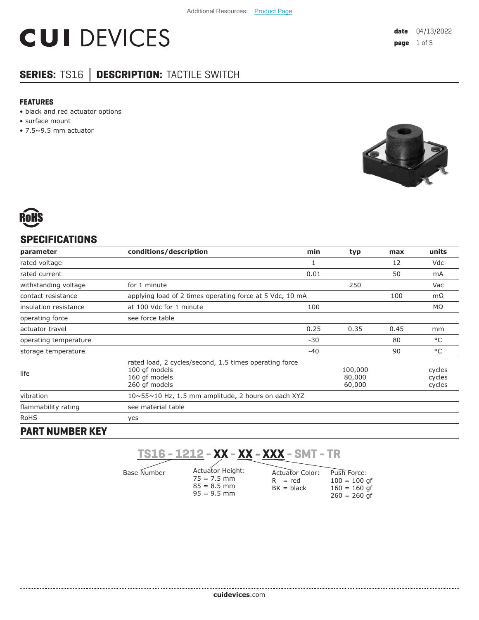# **CUI DEVICES**

### **SERIES:** TS16 **│ DESCRIPTION:** TACTILE SWITCH

#### **FEATURES**

- black and red actuator options
- surface mount
- 7.5~9.5 mm actuator





#### **SPECIFICATIONS**

| conditions/description<br>parameter |                                                                                                           | min   | typ                         | max  | units                      |
|-------------------------------------|-----------------------------------------------------------------------------------------------------------|-------|-----------------------------|------|----------------------------|
| rated voltage                       |                                                                                                           | 1     |                             | 12   | Vdc                        |
| rated current                       |                                                                                                           | 0.01  |                             | 50   | mA                         |
| withstanding voltage                | for 1 minute                                                                                              |       | 250                         |      | Vac                        |
| contact resistance                  | applying load of 2 times operating force at 5 Vdc, 10 mA                                                  |       |                             | 100  | $m\Omega$                  |
| insulation resistance               | at 100 Vdc for 1 minute                                                                                   | 100   |                             |      | MΩ                         |
| operating force                     | see force table                                                                                           |       |                             |      |                            |
| actuator travel                     |                                                                                                           | 0.25  | 0.35                        | 0.45 | mm                         |
| operating temperature               |                                                                                                           | $-30$ |                             | 80   | °C                         |
| storage temperature                 |                                                                                                           | $-40$ |                             | 90   | °C                         |
| life                                | rated load, 2 cycles/second, 1.5 times operating force<br>100 qf models<br>160 gf models<br>260 gf models |       | 100,000<br>80,000<br>60,000 |      | cycles<br>cycles<br>cycles |
| vibration                           | $10 \sim 55 \sim 10$ Hz, 1.5 mm amplitude, 2 hours on each XYZ                                            |       |                             |      |                            |
| flammability rating                 | see material table                                                                                        |       |                             |      |                            |
| <b>RoHS</b>                         | yes                                                                                                       |       |                             |      |                            |
|                                     |                                                                                                           |       |                             |      |                            |

#### **PART NUMBER KEY**

**TS16 - 1212 - XX - XX - XXX - SMT - TR**

Base Number

Actuator Height:  $75 = 7.5$  mm  $85 = 8.5$  mm  $95 = 9.5$  mm

Push Force:  $100 = 100$  gf  $160 = 160$  gf 260 = 260 gf Actuator Color:  $R = red$  $BK = black$ 

**cui[devices](https://www.cuidevices.com/track?actionLabel=Datasheet-ClickThrough-HomePage&label=TS16.pdf&path=/)**.com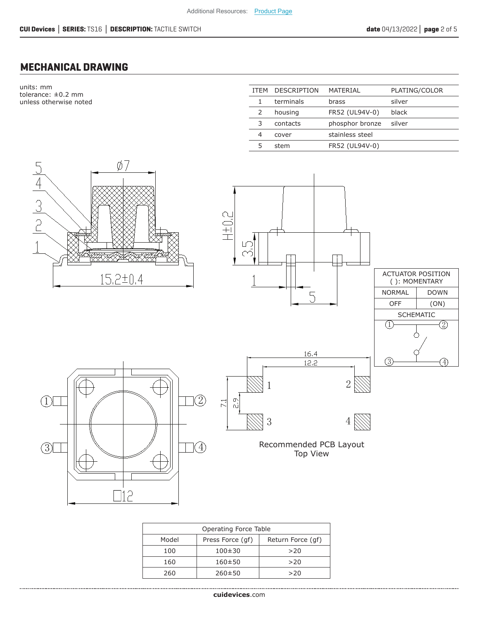#### **MECHANICAL DRAWING**

units: mm tolerance: ±0.2 mm unless otherwise noted

| <b>ITFM</b> | <b>DESCRIPTION</b> | MATERIAL        | PLATING/COLOR |
|-------------|--------------------|-----------------|---------------|
|             | terminals          | brass           | silver        |
|             | housing            | FR52 (UL94V-0)  | black         |
| 3           | contacts           | phosphor bronze | silver        |
| 4           | cover              | stainless steel |               |
|             | stem               | FR52 (UL94V-0)  |               |



| Operating Force Table |                  |                   |  |  |  |
|-----------------------|------------------|-------------------|--|--|--|
| Model                 | Press Force (qf) | Return Force (qf) |  |  |  |
| 100                   | $100 + 30$       | >20               |  |  |  |
| 160                   | $160 + 50$       | >20               |  |  |  |
| 260                   | $260 \pm 50$     | >20               |  |  |  |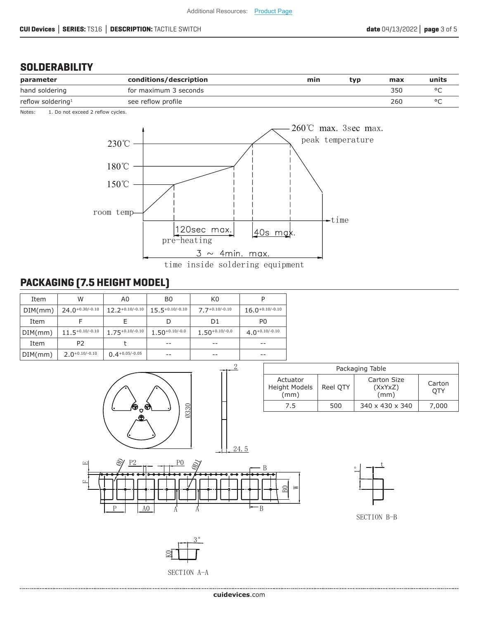#### **SOLDERABILITY**

| parameter                     | conditions/description | min | tvo | max | units   |
|-------------------------------|------------------------|-----|-----|-----|---------|
| hand soldering                | for maximum 3 seconds  |     |     | 350 |         |
| reflow soldering <sup>1</sup> | see reflow profile     |     |     | 260 | $\circ$ |

Notes: 1. Do not exceed 2 reflow cycles.



#### **PACKAGING (7.5 HEIGHT MODEL)**

| Item    | W                    | A0                   | B0                  | K0                  |                      |
|---------|----------------------|----------------------|---------------------|---------------------|----------------------|
| DIM(mm) | $24.0 + 0.30 - 0.10$ | $12.2 + 0.10 - 0.10$ | $15.5+0.10/-0.10$   | $7.7 + 0.10/-0.10$  | $16.0 + 0.10 - 0.10$ |
| Item    |                      |                      | D                   | D1                  | P <sub>0</sub>       |
| DIM(mm) | $11.5 + 0.10 - 0.10$ | $1.75^{+0.10/-0.10}$ | $1.50^{+0.10/-0.0}$ | $1.50^{+0.10/-0.0}$ | $4.0^{+0.10/-0.10}$  |
| Item    | P <sub>2</sub>       |                      | $- -$               | $- -$               | $- -$                |
| DIM(mm) | $2.0 + 0.10 - 0.10$  | $0.4 + 0.05/-0.05$   | --                  |                     | --                   |



*SECTION* A-A

*.*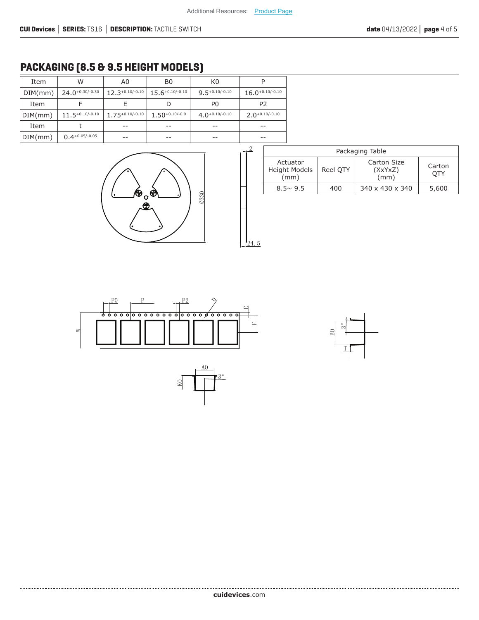#### **PACKAGING (8.5 & 9.5 HEIGHT MODELS)**

| Item    | W                    | A0                   | B0                   | K0                  |                      |
|---------|----------------------|----------------------|----------------------|---------------------|----------------------|
| DIM(mm) | $24.0^{+0.30/-0.30}$ | $12.3^{+0.10/-0.10}$ | $15.6^{+0.10/-0.10}$ | $9.5^{+0.10/-0.10}$ | $16.0^{+0.10/-0.10}$ |
| Item    |                      |                      |                      | P <sub>0</sub>      | P2                   |
| DIM(mm) | $11.5 + 0.10 - 0.10$ | $1.75^{+0.10/-0.10}$ | $1.50^{+0.10/-0.0}$  | $4.0+0.10/-0.10$    | $2.0 + 0.10 - 0.10$  |
| Item    |                      | --                   | --                   | --                  | $- -$                |
| DIM(mm) | $0.4 + 0.05/-0.05$   | --                   | --                   | --                  | --                   |



| $\overline{2}$ | Packaging Table                          |          |                                |               |  |  |
|----------------|------------------------------------------|----------|--------------------------------|---------------|--|--|
|                | Actuator<br><b>Height Models</b><br>(mm) | Reel OTY | Carton Size<br>(XxYxZ)<br>(mm) | Carton<br>OTY |  |  |
|                | $8.5 \sim 9.5$                           | 400      | 340 x 430 x 340                | 5,600         |  |  |
|                |                                          |          |                                |               |  |  |

 $\overline{5}$